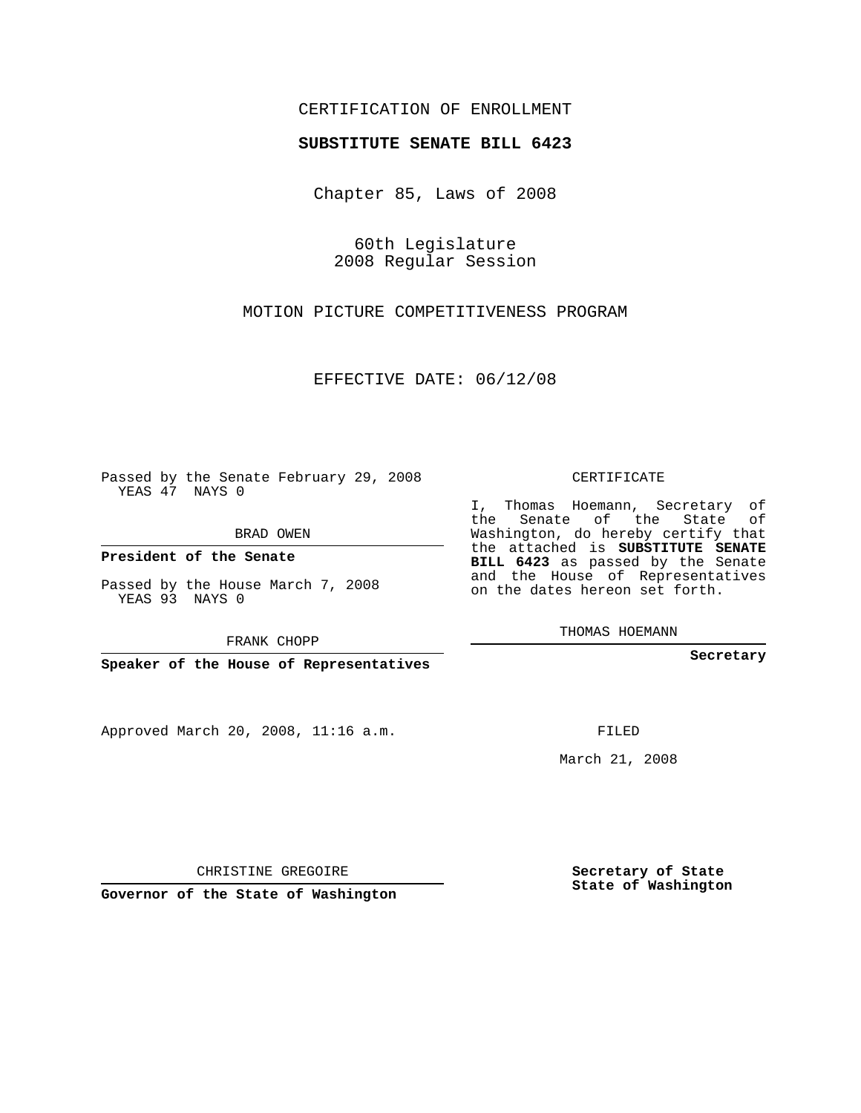## CERTIFICATION OF ENROLLMENT

## **SUBSTITUTE SENATE BILL 6423**

Chapter 85, Laws of 2008

60th Legislature 2008 Regular Session

MOTION PICTURE COMPETITIVENESS PROGRAM

EFFECTIVE DATE: 06/12/08

Passed by the Senate February 29, 2008 YEAS 47 NAYS 0

BRAD OWEN

**President of the Senate**

Passed by the House March 7, 2008 YEAS 93 NAYS 0

FRANK CHOPP

**Speaker of the House of Representatives**

Approved March 20, 2008, 11:16 a.m.

CERTIFICATE

I, Thomas Hoemann, Secretary of the Senate of the State of Washington, do hereby certify that the attached is **SUBSTITUTE SENATE BILL 6423** as passed by the Senate and the House of Representatives on the dates hereon set forth.

THOMAS HOEMANN

**Secretary**

FILED

March 21, 2008

**Secretary of State State of Washington**

CHRISTINE GREGOIRE

**Governor of the State of Washington**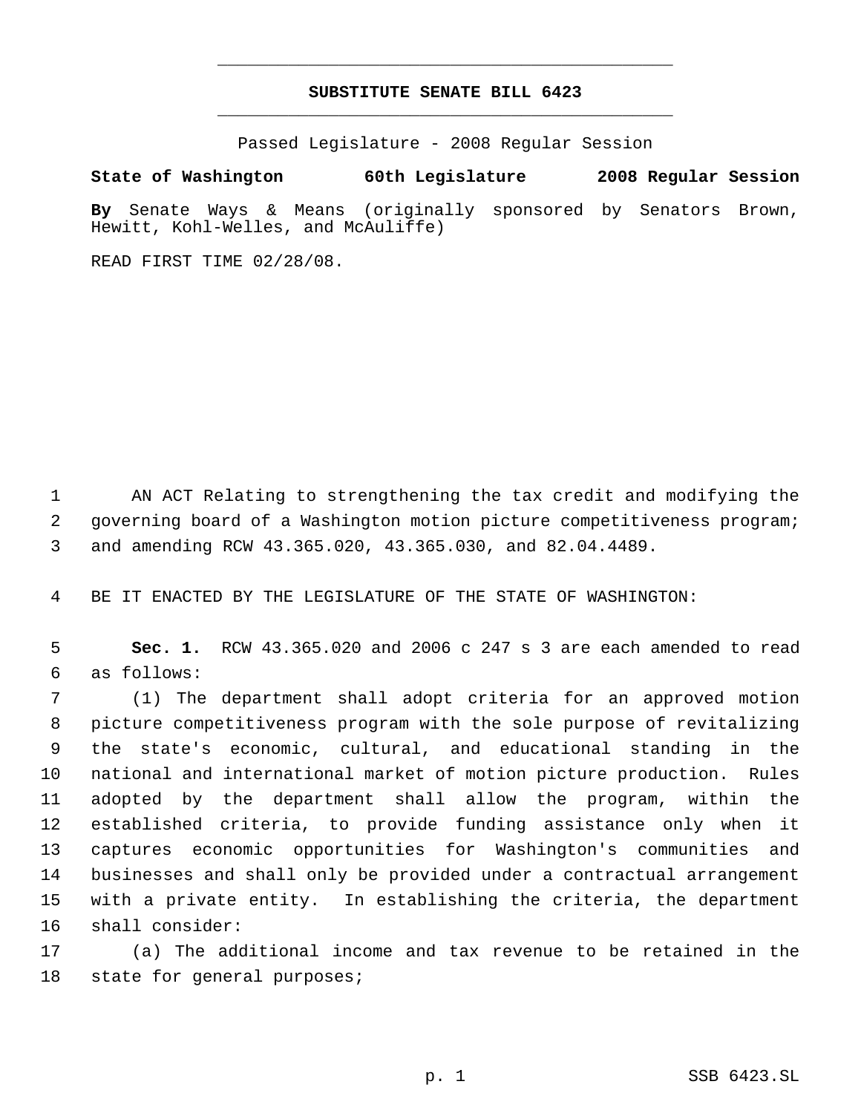## **SUBSTITUTE SENATE BILL 6423** \_\_\_\_\_\_\_\_\_\_\_\_\_\_\_\_\_\_\_\_\_\_\_\_\_\_\_\_\_\_\_\_\_\_\_\_\_\_\_\_\_\_\_\_\_

\_\_\_\_\_\_\_\_\_\_\_\_\_\_\_\_\_\_\_\_\_\_\_\_\_\_\_\_\_\_\_\_\_\_\_\_\_\_\_\_\_\_\_\_\_

Passed Legislature - 2008 Regular Session

**State of Washington 60th Legislature 2008 Regular Session**

**By** Senate Ways & Means (originally sponsored by Senators Brown, Hewitt, Kohl-Welles, and McAuliffe)

READ FIRST TIME 02/28/08.

 AN ACT Relating to strengthening the tax credit and modifying the governing board of a Washington motion picture competitiveness program; and amending RCW 43.365.020, 43.365.030, and 82.04.4489.

BE IT ENACTED BY THE LEGISLATURE OF THE STATE OF WASHINGTON:

 **Sec. 1.** RCW 43.365.020 and 2006 c 247 s 3 are each amended to read as follows:

 (1) The department shall adopt criteria for an approved motion picture competitiveness program with the sole purpose of revitalizing the state's economic, cultural, and educational standing in the national and international market of motion picture production. Rules adopted by the department shall allow the program, within the established criteria, to provide funding assistance only when it captures economic opportunities for Washington's communities and businesses and shall only be provided under a contractual arrangement with a private entity. In establishing the criteria, the department shall consider:

 (a) The additional income and tax revenue to be retained in the state for general purposes;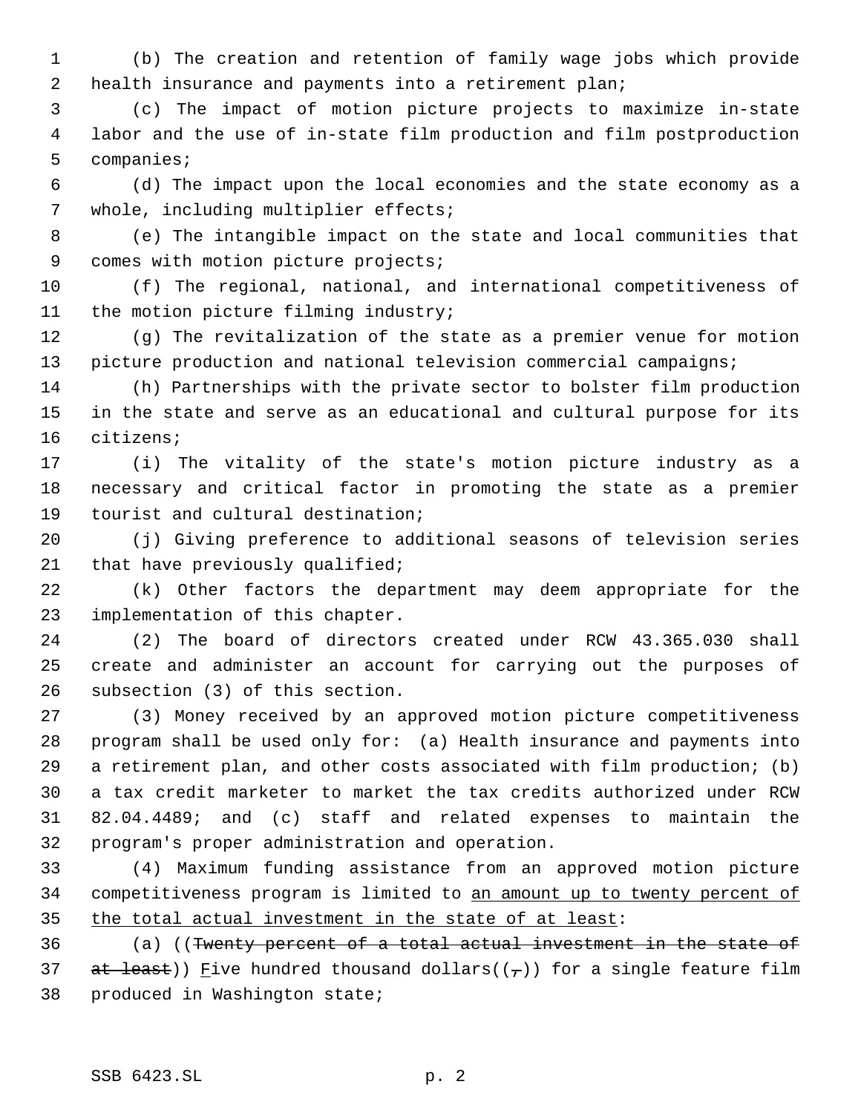(b) The creation and retention of family wage jobs which provide 2 health insurance and payments into a retirement plan;

 (c) The impact of motion picture projects to maximize in-state labor and the use of in-state film production and film postproduction companies;

 (d) The impact upon the local economies and the state economy as a whole, including multiplier effects;

 (e) The intangible impact on the state and local communities that 9 comes with motion picture projects;

 (f) The regional, national, and international competitiveness of 11 the motion picture filming industry;

 (g) The revitalization of the state as a premier venue for motion picture production and national television commercial campaigns;

 (h) Partnerships with the private sector to bolster film production in the state and serve as an educational and cultural purpose for its citizens;

 (i) The vitality of the state's motion picture industry as a necessary and critical factor in promoting the state as a premier tourist and cultural destination;

 (j) Giving preference to additional seasons of television series 21 that have previously qualified;

 (k) Other factors the department may deem appropriate for the implementation of this chapter.

 (2) The board of directors created under RCW 43.365.030 shall create and administer an account for carrying out the purposes of subsection (3) of this section.

 (3) Money received by an approved motion picture competitiveness program shall be used only for: (a) Health insurance and payments into a retirement plan, and other costs associated with film production; (b) a tax credit marketer to market the tax credits authorized under RCW 82.04.4489; and (c) staff and related expenses to maintain the program's proper administration and operation.

 (4) Maximum funding assistance from an approved motion picture competitiveness program is limited to an amount up to twenty percent of 35 the total actual investment in the state of at least:

 (a) ((Twenty percent of a total actual investment in the state of 37 at least)) Five hundred thousand dollars( $(\tau)$ ) for a single feature film produced in Washington state;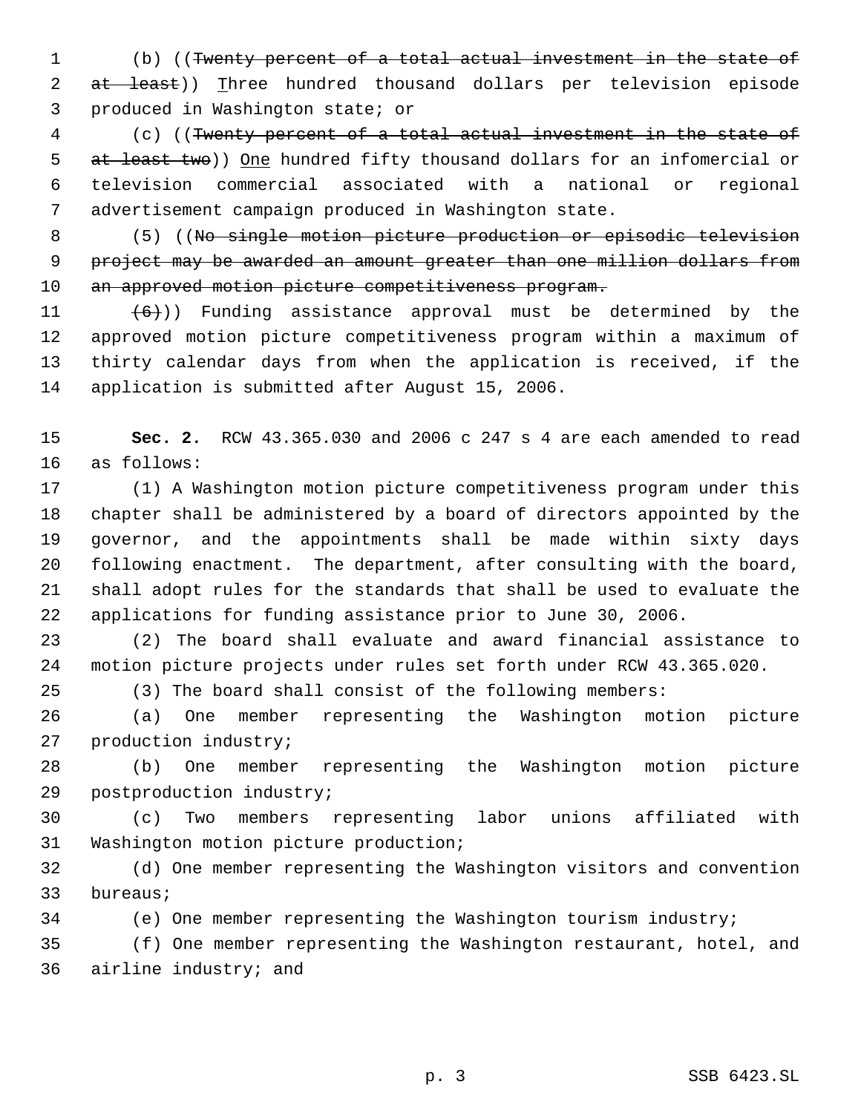(b) ((Twenty percent of a total actual investment in the state of 2 at least)) Three hundred thousand dollars per television episode produced in Washington state; or

 (c) ((Twenty percent of a total actual investment in the state of 5 at least two)) One hundred fifty thousand dollars for an infomercial or television commercial associated with a national or regional advertisement campaign produced in Washington state.

 (5) ((No single motion picture production or episodic television 9 project may be awarded an amount greater than one million dollars from 10 an approved motion picture competitiveness program.

 $(6)$ )) Funding assistance approval must be determined by the approved motion picture competitiveness program within a maximum of thirty calendar days from when the application is received, if the application is submitted after August 15, 2006.

 **Sec. 2.** RCW 43.365.030 and 2006 c 247 s 4 are each amended to read as follows:

 (1) A Washington motion picture competitiveness program under this chapter shall be administered by a board of directors appointed by the governor, and the appointments shall be made within sixty days following enactment. The department, after consulting with the board, shall adopt rules for the standards that shall be used to evaluate the applications for funding assistance prior to June 30, 2006.

 (2) The board shall evaluate and award financial assistance to motion picture projects under rules set forth under RCW 43.365.020.

(3) The board shall consist of the following members:

 (a) One member representing the Washington motion picture production industry;

 (b) One member representing the Washington motion picture postproduction industry;

 (c) Two members representing labor unions affiliated with Washington motion picture production;

 (d) One member representing the Washington visitors and convention bureaus;

(e) One member representing the Washington tourism industry;

 (f) One member representing the Washington restaurant, hotel, and airline industry; and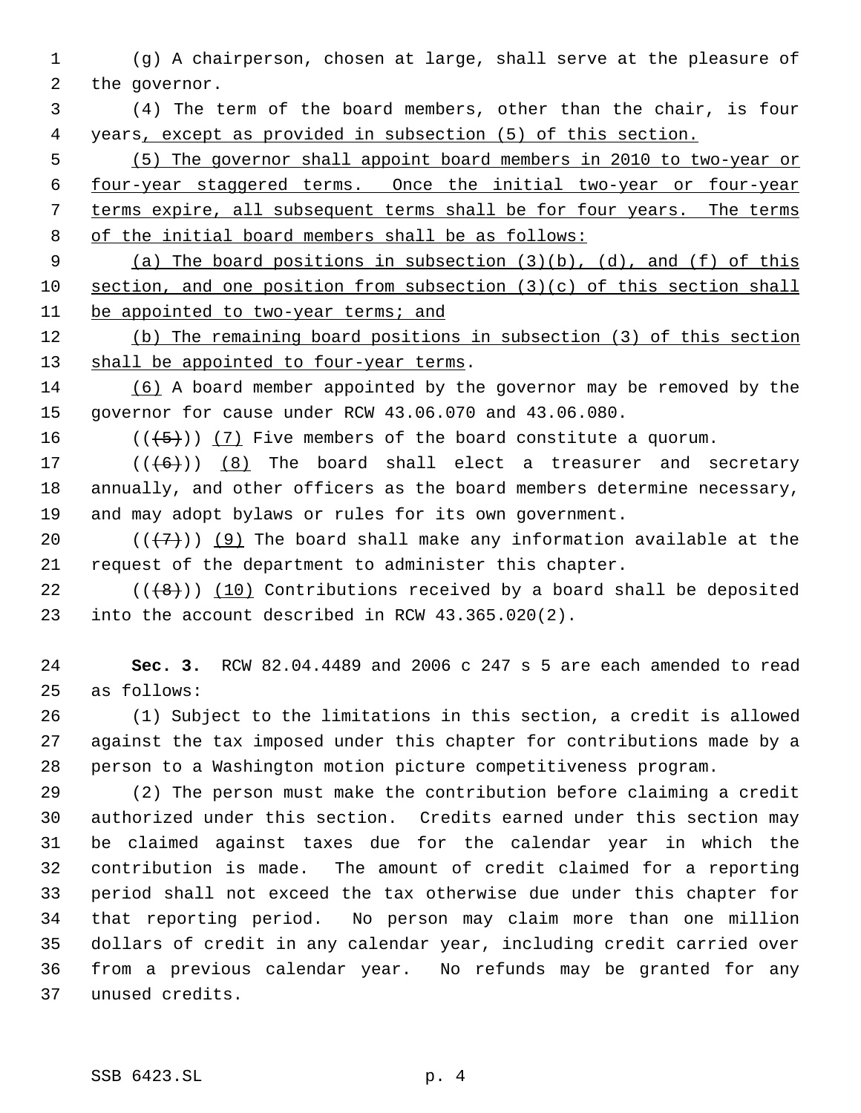- (g) A chairperson, chosen at large, shall serve at the pleasure of the governor.
- (4) The term of the board members, other than the chair, is four years, except as provided in subsection (5) of this section.
- (5) The governor shall appoint board members in 2010 to two-year or four-year staggered terms. Once the initial two-year or four-year terms expire, all subsequent terms shall be for four years. The terms of the initial board members shall be as follows:
- (a) The board positions in subsection (3)(b), (d), and (f) of this section, and one position from subsection (3)(c) of this section shall be appointed to two-year terms; and
- (b) The remaining board positions in subsection (3) of this section 13 shall be appointed to four-year terms.
- (6) A board member appointed by the governor may be removed by the governor for cause under RCW 43.06.070 and 43.06.080.
- 16  $((+5+))$  (7) Five members of the board constitute a quorum.
- 17  $((+6))$   $(8)$  The board shall elect a treasurer and secretary annually, and other officers as the board members determine necessary, and may adopt bylaws or rules for its own government.
- 20  $((+7))$  (9) The board shall make any information available at the request of the department to administer this chapter.
- 22  $((+8))$  (10) Contributions received by a board shall be deposited into the account described in RCW 43.365.020(2).
- **Sec. 3.** RCW 82.04.4489 and 2006 c 247 s 5 are each amended to read as follows:
- (1) Subject to the limitations in this section, a credit is allowed against the tax imposed under this chapter for contributions made by a person to a Washington motion picture competitiveness program.
- (2) The person must make the contribution before claiming a credit authorized under this section. Credits earned under this section may be claimed against taxes due for the calendar year in which the contribution is made. The amount of credit claimed for a reporting period shall not exceed the tax otherwise due under this chapter for that reporting period. No person may claim more than one million dollars of credit in any calendar year, including credit carried over from a previous calendar year. No refunds may be granted for any unused credits.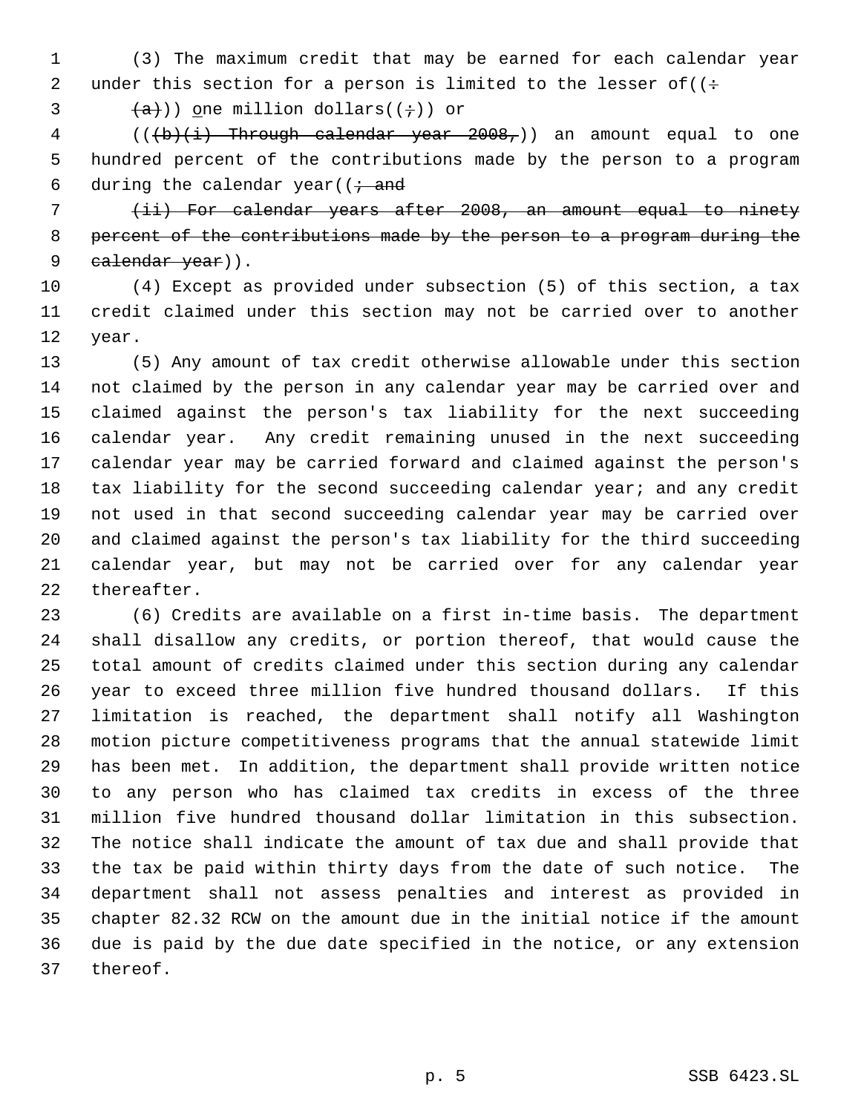(3) The maximum credit that may be earned for each calendar year 2 under this section for a person is limited to the lesser of  $((\div$ 

3  $(a+1)$ ) one million dollars(( $\div$ )) or

4 (( $(b)(i)$  Through calendar year  $2008<sub>r</sub>$ )) an amount equal to one hundred percent of the contributions made by the person to a program 6 during the calendar year( $(i \cdot$  and

 (ii) For calendar years after 2008, an amount equal to ninety percent of the contributions made by the person to a program during the 9 calendar year)).

 (4) Except as provided under subsection (5) of this section, a tax credit claimed under this section may not be carried over to another year.

 (5) Any amount of tax credit otherwise allowable under this section not claimed by the person in any calendar year may be carried over and claimed against the person's tax liability for the next succeeding calendar year. Any credit remaining unused in the next succeeding calendar year may be carried forward and claimed against the person's 18 tax liability for the second succeeding calendar year; and any credit not used in that second succeeding calendar year may be carried over and claimed against the person's tax liability for the third succeeding calendar year, but may not be carried over for any calendar year thereafter.

 (6) Credits are available on a first in-time basis. The department shall disallow any credits, or portion thereof, that would cause the total amount of credits claimed under this section during any calendar year to exceed three million five hundred thousand dollars. If this limitation is reached, the department shall notify all Washington motion picture competitiveness programs that the annual statewide limit has been met. In addition, the department shall provide written notice to any person who has claimed tax credits in excess of the three million five hundred thousand dollar limitation in this subsection. The notice shall indicate the amount of tax due and shall provide that the tax be paid within thirty days from the date of such notice. The department shall not assess penalties and interest as provided in chapter 82.32 RCW on the amount due in the initial notice if the amount due is paid by the due date specified in the notice, or any extension thereof.